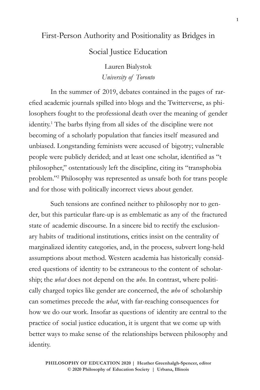# First-Person Authority and Positionality as Bridges in Social Justice Education

Lauren Bialystok *University of Toronto*

In the summer of 2019, debates contained in the pages of rarefied academic journals spilled into blogs and the Twitterverse, as philosophers fought to the professional death over the meaning of gender identity.1 The barbs flying from all sides of the discipline were not becoming of a scholarly population that fancies itself measured and unbiased. Longstanding feminists were accused of bigotry; vulnerable people were publicly derided; and at least one scholar, identified as "t philosopher," ostentatiously left the discipline, citing its "transphobia problem."2 Philosophy was represented as unsafe both for trans people and for those with politically incorrect views about gender.

Such tensions are confined neither to philosophy nor to gender, but this particular flare-up is as emblematic as any of the fractured state of academic discourse. In a sincere bid to rectify the exclusionary habits of traditional institutions, critics insist on the centrality of marginalized identity categories, and, in the process, subvert long-held assumptions about method. Western academia has historically considered questions of identity to be extraneous to the content of scholarship; the *what* does not depend on the *who*. In contrast, where politically charged topics like gender are concerned, the *who* of scholarship can sometimes precede the *what*, with far-reaching consequences for how we do our work. Insofar as questions of identity are central to the practice of social justice education, it is urgent that we come up with better ways to make sense of the relationships between philosophy and identity.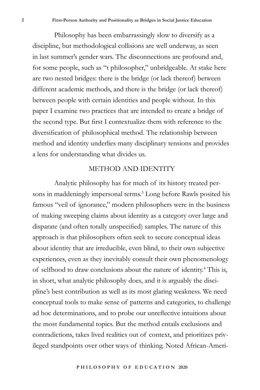Philosophy has been embarrassingly slow to diversify as a discipline, but methodological collisions are well underway, as seen in last summer's gender wars. The disconnections are profound and, for some people, such as "t philosopher," unbridgeable. At stake here are two nested bridges: there is the bridge (or lack thereof) between different academic methods, and there is the bridge (or lack thereof) between people with certain identities and people without. In this paper I examine two practices that are intended to create a bridge of the second type. But first I contextualize them with reference to the diversification of philosophical method. The relationship between method and identity underlies many disciplinary tensions and provides a lens for understanding what divides us.

#### METHOD AND IDENTITY

Analytic philosophy has for much of its history treated persons in maddeningly impersonal terms.<sup>3</sup> Long before Rawls posited his famous "veil of ignorance," modern philosophers were in the business of making sweeping claims about identity as a category over large and disparate (and often totally unspecified) samples. The nature of this approach is that philosophers often seek to secure conceptual ideas about identity that are irreducible, even blind, to their own subjective experiences, even as they inevitably consult their own phenomenology of selfhood to draw conclusions about the nature of identity.<sup>4</sup> This is, in short, what analytic philosophy does, and it is arguably the discipline's best contribution as well as its most glaring weakness. We need conceptual tools to make sense of patterns and categories, to challenge ad hoc determinations, and to probe our unreflective intuitions about the most fundamental topics. But the method entails exclusions and contradictions, takes lived realities out of context, and prioritizes privileged standpoints over other ways of thinking. Noted African-Ameri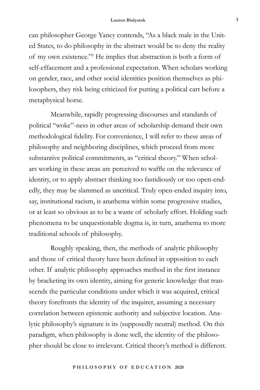can philosopher George Yancy contends, "As a black male in the United States, to do philosophy in the abstract would be to deny the reality of my own existence."<sup>5</sup> He implies that abstraction is both a form of self-effacement and a professional expectation. When scholars working on gender, race, and other social identities position themselves as philosophers, they risk being criticized for putting a political cart before a metaphysical horse.

Meanwhile, rapidly progressing discourses and standards of political "woke"-ness in other areas of scholarship demand their own methodological fidelity. For convenience, I will refer to these areas of philosophy and neighboring disciplines, which proceed from more substantive political commitments, as "critical theory." When scholars working in these areas are perceived to waffle on the relevance of identity, or to apply abstract thinking too fastidiously or too open-endedly, they may be slammed as uncritical. Truly open-ended inquiry into, say, institutional racism, is anathema within some progressive studies, or at least so obvious as to be a waste of scholarly effort. Holding such phenomena to be unquestionable dogma is, in turn, anathema to more traditional schools of philosophy.

Roughly speaking, then, the methods of analytic philosophy and those of critical theory have been defined in opposition to each other. If analytic philosophy approaches method in the first instance by bracketing its own identity, aiming for generic knowledge that transcends the particular conditions under which it was acquired, critical theory forefronts the identity of the inquirer, assuming a necessary correlation between epistemic authority and subjective location. Analytic philosophy's signature is its (supposedly neutral) method. On this paradigm, when philosophy is done well, the identity of the philosopher should be close to irrelevant. Critical theory's method is different.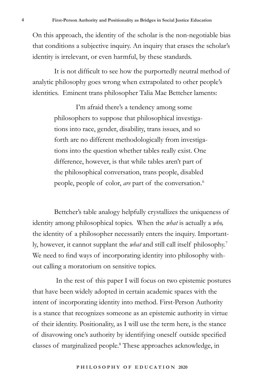On this approach, the identity of the scholar is the non-negotiable bias that conditions a subjective inquiry. An inquiry that erases the scholar's identity is irrelevant, or even harmful, by these standards.

It is not difficult to see how the purportedly neutral method of analytic philosophy goes wrong when extrapolated to other people's identities. Eminent trans philosopher Talia Mae Bettcher laments:

> I'm afraid there's a tendency among some philosophers to suppose that philosophical investigations into race, gender, disability, trans issues, and so forth are no different methodologically from investigations into the question whether tables really exist. One difference, however, is that while tables aren't part of the philosophical conversation, trans people, disabled people, people of color, *are* part of the conversation. 6

Bettcher's table analogy helpfully crystallizes the uniqueness of identity among philosophical topics. When the *what* is actually a *who,* the identity of a philosopher necessarily enters the inquiry. Importantly, however, it cannot supplant the *what* and still call itself philosophy.7 We need to find ways of incorporating identity into philosophy without calling a moratorium on sensitive topics.

 In the rest of this paper I will focus on two epistemic postures that have been widely adopted in certain academic spaces with the intent of incorporating identity into method. First-Person Authority is a stance that recognizes someone as an epistemic authority in virtue of their identity. Positionality, as I will use the term here, is the stance of disavowing one's authority by identifying oneself outside specified classes of marginalized people.8 These approaches acknowledge, in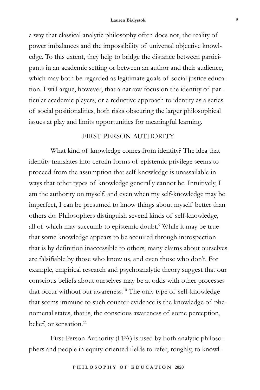a way that classical analytic philosophy often does not, the reality of power imbalances and the impossibility of universal objective knowledge. To this extent, they help to bridge the distance between participants in an academic setting or between an author and their audience, which may both be regarded as legitimate goals of social justice education. I will argue, however, that a narrow focus on the identity of particular academic players, or a reductive approach to identity as a series of social positionalities, both risks obscuring the larger philosophical issues at play and limits opportunities for meaningful learning.

### FIRST-PERSON AUTHORITY

What kind of knowledge comes from identity? The idea that identity translates into certain forms of epistemic privilege seems to proceed from the assumption that self-knowledge is unassailable in ways that other types of knowledge generally cannot be. Intuitively, I am the authority on myself, and even when my self-knowledge may be imperfect, I can be presumed to know things about myself better than others do. Philosophers distinguish several kinds of self-knowledge, all of which may succumb to epistemic doubt.<sup>9</sup> While it may be true that some knowledge appears to be acquired through introspection that is by definition inaccessible to others, many claims about ourselves are falsifiable by those who know us, and even those who don't. For example, empirical research and psychoanalytic theory suggest that our conscious beliefs about ourselves may be at odds with other processes that occur without our awareness.<sup>10</sup> The only type of self-knowledge that seems immune to such counter-evidence is the knowledge of phenomenal states, that is, the conscious awareness of some perception, belief, or sensation.<sup>11</sup>

First-Person Authority (FPA) is used by both analytic philosophers and people in equity-oriented fields to refer, roughly, to knowl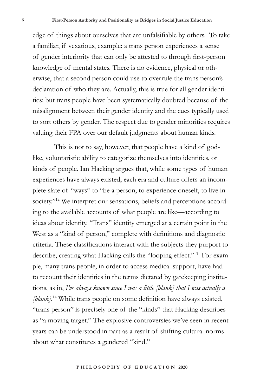edge of things about ourselves that are unfalsifiable by others. To take a familiar, if vexatious, example: a trans person experiences a sense of gender interiority that can only be attested to through first-person knowledge of mental states. There is no evidence, physical or otherwise, that a second person could use to overrule the trans person's declaration of who they are. Actually, this is true for all gender identities; but trans people have been systematically doubted because of the misalignment between their gender identity and the cues typically used to sort others by gender. The respect due to gender minorities requires valuing their FPA over our default judgments about human kinds.

This is not to say, however, that people have a kind of godlike, voluntaristic ability to categorize themselves into identities, or kinds of people. Ian Hacking argues that, while some types of human experiences have always existed, each era and culture offers an incomplete slate of "ways" to "be a person, to experience oneself, to live in society."<sup>12</sup> We interpret our sensations, beliefs and perceptions according to the available accounts of what people are like—according to ideas about identity. "Trans" identity emerged at a certain point in the West as a "kind of person," complete with definitions and diagnostic criteria. These classifications interact with the subjects they purport to describe, creating what Hacking calls the "looping effect."13 For example, many trans people, in order to access medical support, have had to recount their identities in the terms dictated by gatekeeping institutions, as in, *I've always known since I was a little [blank] that I was actually a [blank].*<sup>14</sup> While trans people on some definition have always existed, "trans person" is precisely one of the "kinds" that Hacking describes as "a moving target." The explosive controversies we've seen in recent years can be understood in part as a result of shifting cultural norms about what constitutes a gendered "kind."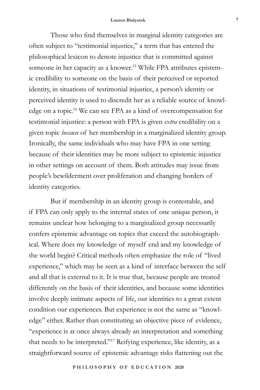Those who find themselves in marginal identity categories are often subject to "testimonial injustice," a term that has entered the philosophical lexicon to denote injustice that is committed against someone in her capacity as a knower.<sup>15</sup> While FPA attributes epistemic credibility to someone on the basis of their perceived or reported identity, in situations of testimonial injustice, a person's identity or perceived identity is used to discredit her as a reliable source of knowledge on a topic.16 We can see FPA as a kind of overcompensation for testimonial injustice: a person with FPA is given *extra* credibility on a given topic *because* of her membership in a marginalized identity group. Ironically, the same individuals who may have FPA in one setting because of their identities may be more subject to epistemic injustice in other settings on account of them. Both attitudes may issue from people's bewilderment over proliferation and changing borders of identity categories.

But if membership in an identity group is contestable, and if FPA can only apply to the internal states of one unique person, it remains unclear how belonging to a marginalized group necessarily confers epistemic advantage on topics that exceed the autobiographical. Where does my knowledge of myself end and my knowledge of the world begin? Critical methods often emphasize the role of "lived experience," which may be seen as a kind of interface between the self and all that is external to it. It is true that, because people are treated differently on the basis of their identities, and because some identities involve deeply intimate aspects of life, our identities to a great extent condition our experiences. But experience is not the same as "knowledge" either. Rather than constituting an objective piece of evidence, "experience is at once always already an interpretation and something that needs to be interpreted."17 Reifying experience, like identity, as a straightforward source of epistemic advantage risks flattening out the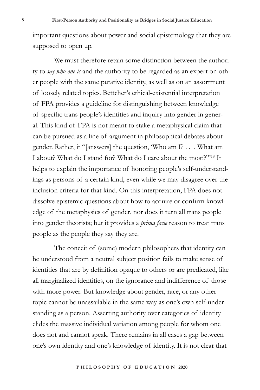important questions about power and social epistemology that they are supposed to open up.

We must therefore retain some distinction between the authority to *say who one is* and the authority to be regarded as an expert on other people with the same putative identity, as well as on an assortment of loosely related topics. Bettcher's ethical-existential interpretation of FPA provides a guideline for distinguishing between knowledge of specific trans people's identities and inquiry into gender in general. This kind of FPA is not meant to stake a metaphysical claim that can be pursued as a line of argument in philosophical debates about gender. Rather, it "[answers] the question, 'Who am I? . . . What am I about? What do I stand for? What do I care about the most?'"18 It helps to explain the importance of honoring people's self-understandings as persons of a certain kind, even while we may disagree over the inclusion criteria for that kind. On this interpretation, FPA does not dissolve epistemic questions about how to acquire or confirm knowledge of the metaphysics of gender, nor does it turn all trans people into gender theorists; but it provides a *prima facie* reason to treat trans people as the people they say they are.

The conceit of (some) modern philosophers that identity can be understood from a neutral subject position fails to make sense of identities that are by definition opaque to others or are predicated, like all marginalized identities, on the ignorance and indifference of those with more power. But knowledge about gender, race, or any other topic cannot be unassailable in the same way as one's own self-understanding as a person. Asserting authority over categories of identity elides the massive individual variation among people for whom one does not and cannot speak. There remains in all cases a gap between one's own identity and one's knowledge of identity. It is not clear that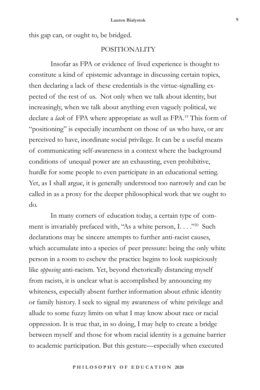this gap can, or ought to, be bridged.

# POSITIONALITY

Insofar as FPA or evidence of lived experience is thought to constitute a kind of epistemic advantage in discussing certain topics, then declaring a lack of these credentials is the virtue-signalling expected of the rest of us. Not only when we talk about identity, but increasingly, when we talk about anything even vaguely political, we declare a *lack* of FPA where appropriate as well as FPA.<sup>19</sup> This form of "positioning" is especially incumbent on those of us who have, or are perceived to have, inordinate social privilege. It can be a useful means of communicating self-awareness in a context where the background conditions of unequal power are an exhausting, even prohibitive, hurdle for some people to even participate in an educational setting. Yet, as I shall argue, it is generally understood too narrowly and can be called in as a proxy for the deeper philosophical work that we ought to do.

In many corners of education today, a certain type of comment is invariably prefaced with, "As a white person, I. . . . . . 20 Such declarations may be sincere attempts to further anti-racist causes, which accumulate into a species of peer pressure: being the only white person in a room to eschew the practice begins to look suspiciously like *opposing* anti-racism. Yet, beyond rhetorically distancing myself from racists, it is unclear what is accomplished by announcing my whiteness, especially absent further information about ethnic identity or family history. I seek to signal my awareness of white privilege and allude to some fuzzy limits on what I may know about race or racial oppression. It is true that, in so doing, I may help to create a bridge between myself and those for whom racial identity is a genuine barrier to academic participation. But this gesture—especially when executed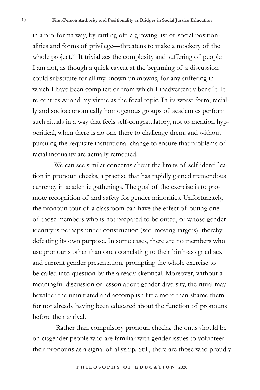in a pro-forma way, by rattling off a growing list of social positionalities and forms of privilege—threatens to make a mockery of the whole project.<sup>21</sup> It trivializes the complexity and suffering of people I am not, as though a quick caveat at the beginning of a discussion could substitute for all my known unknowns, for any suffering in which I have been complicit or from which I inadvertently benefit. It re-centres *me* and my virtue as the focal topic. In its worst form, racially and socioeconomically homogenous groups of academics perform such rituals in a way that feels self-congratulatory, not to mention hypocritical, when there is no one there to challenge them, and without pursuing the requisite institutional change to ensure that problems of racial inequality are actually remedied.

We can see similar concerns about the limits of self-identification in pronoun checks, a practise that has rapidly gained tremendous currency in academic gatherings. The goal of the exercise is to promote recognition of and safety for gender minorities. Unfortunately, the pronoun tour of a classroom can have the effect of outing one of those members who is not prepared to be outed, or whose gender identity is perhaps under construction (see: moving targets), thereby defeating its own purpose. In some cases, there are no members who use pronouns other than ones correlating to their birth-assigned sex and current gender presentation, prompting the whole exercise to be called into question by the already-skeptical. Moreover, without a meaningful discussion or lesson about gender diversity, the ritual may bewilder the uninitiated and accomplish little more than shame them for not already having been educated about the function of pronouns before their arrival.

 Rather than compulsory pronoun checks, the onus should be on cisgender people who are familiar with gender issues to volunteer their pronouns as a signal of allyship. Still, there are those who proudly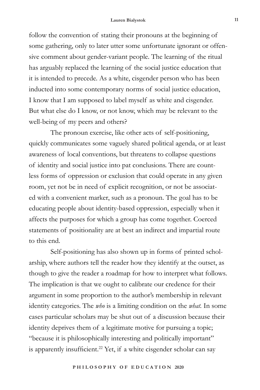#### **Lauren Bialystok 11**

follow the convention of stating their pronouns at the beginning of some gathering, only to later utter some unfortunate ignorant or offensive comment about gender-variant people. The learning of the ritual has arguably replaced the learning of the social justice education that it is intended to precede. As a white, cisgender person who has been inducted into some contemporary norms of social justice education, I know that I am supposed to label myself as white and cisgender. But what else do I know, or not know, which may be relevant to the well-being of my peers and others?

The pronoun exercise, like other acts of self-positioning, quickly communicates some vaguely shared political agenda, or at least awareness of local conventions, but threatens to collapse questions of identity and social justice into pat conclusions. There are countless forms of oppression or exclusion that could operate in any given room, yet not be in need of explicit recognition, or not be associated with a convenient marker, such as a pronoun. The goal has to be educating people about identity-based oppression, especially when it affects the purposes for which a group has come together. Coerced statements of positionality are at best an indirect and impartial route to this end.

Self-positioning has also shown up in forms of printed scholarship, where authors tell the reader how they identify at the outset, as though to give the reader a roadmap for how to interpret what follows*.*  The implication is that we ought to calibrate our credence for their argument in some proportion to the author's membership in relevant identity categories. The *who* is a limiting condition on the *what.* In some cases particular scholars may be shut out of a discussion because their identity deprives them of a legitimate motive for pursuing a topic; "because it is philosophically interesting and politically important" is apparently insufficient.<sup>22</sup> Yet, if a white cisgender scholar can say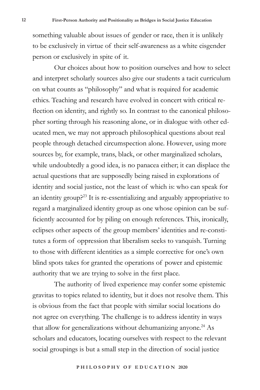something valuable about issues of gender or race, then it is unlikely to be exclusively in virtue of their self-awareness as a white cisgender person or exclusively in spite of it.

Our choices about how to position ourselves and how to select and interpret scholarly sources also give our students a tacit curriculum on what counts as "philosophy" and what is required for academic ethics. Teaching and research have evolved in concert with critical reflection on identity, and rightly so. In contrast to the canonical philosopher sorting through his reasoning alone, or in dialogue with other educated men, we may not approach philosophical questions about real people through detached circumspection alone. However, using more sources by, for example, trans, black, or other marginalized scholars, while undoubtedly a good idea, is no panacea either; it can displace the actual questions that are supposedly being raised in explorations of identity and social justice, not the least of which is: who can speak for an identity group?<sup>23</sup> It is re-essentializing and arguably appropriative to regard a marginalized identity group as one whose opinion can be sufficiently accounted for by piling on enough references. This, ironically, eclipses other aspects of the group members' identities and re-constitutes a form of oppression that liberalism seeks to vanquish. Turning to those with different identities as a simple corrective for one's own blind spots takes for granted the operations of power and epistemic authority that we are trying to solve in the first place.

The authority of lived experience may confer some epistemic gravitas to topics related to identity, but it does not resolve them. This is obvious from the fact that people with similar social locations do not agree on everything. The challenge is to address identity in ways that allow for generalizations without dehumanizing anyone.<sup>24</sup> As scholars and educators, locating ourselves with respect to the relevant social groupings is but a small step in the direction of social justice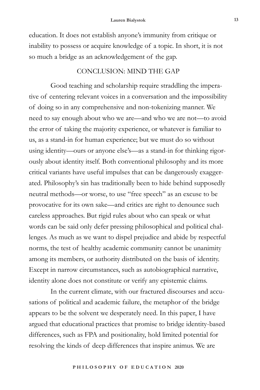education. It does not establish anyone's immunity from critique or inability to possess or acquire knowledge of a topic. In short, it is not so much a bridge as an acknowledgement of the gap.

# CONCLUSION: MIND THE GAP

Good teaching and scholarship require straddling the imperative of centering relevant voices in a conversation and the impossibility of doing so in any comprehensive and non-tokenizing manner. We need to say enough about who we are—and who we are not—to avoid the error of taking the majority experience, or whatever is familiar to us, as a stand-in for human experience; but we must do so without using identity—ours or anyone else's—as a stand-in for thinking rigorously about identity itself. Both conventional philosophy and its more critical variants have useful impulses that can be dangerously exaggerated. Philosophy's sin has traditionally been to hide behind supposedly neutral methods—or worse, to use "free speech" as an excuse to be provocative for its own sake—and critics are right to denounce such careless approaches. But rigid rules about who can speak or what words can be said only defer pressing philosophical and political challenges. As much as we want to dispel prejudice and abide by respectful norms, the test of healthy academic community cannot be unanimity among its members, or authority distributed on the basis of identity. Except in narrow circumstances, such as autobiographical narrative, identity alone does not constitute or verify any epistemic claims.

In the current climate, with our fractured discourses and accusations of political and academic failure, the metaphor of the bridge appears to be the solvent we desperately need. In this paper, I have argued that educational practices that promise to bridge identity-based differences, such as FPA and positionality, hold limited potential for resolving the kinds of deep differences that inspire animus. We are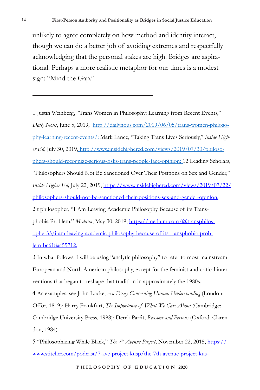unlikely to agree completely on how method and identity interact, though we can do a better job of avoiding extremes and respectfully acknowledging that the personal stakes are high. Bridges are aspirational. Perhaps a more realistic metaphor for our times is a modest sign: "Mind the Gap."

1 Justin Weinberg, "Trans Women in Philosophy: Learning from Recent Events," *Daily Nous*, June 5, 2019, http://dailynous.com/2019/06/05/trans-women-philosophy-learning-recent-events/; Mark Lance, "Taking Trans Lives Seriously," *Inside Higher Ed*, July 30, 2019, http://www.insidehighered.com/views/2019/07/30/philosophers-should-recognize-serious-risks-trans-people-face-opinion; 12 Leading Scholars, "Philosophers Should Not Be Sanctioned Over Their Positions on Sex and Gender," *Inside Higher Ed,* July 22, 2019, https://www.insidehighered.com/views/2019/07/22/ philosophers-should-not-be-sanctioned-their-positions-sex-and-gender-opinion. 2 t philosopher, "I Am Leaving Academic Philosophy Because of its Transphobia Problem," *Medium*, May 30, 2019, https://medium.com/@transphilosopher33/i-am-leaving-academic-philosophy-because-of-its-transphobia-problem-bc618aa55712.

3 In what follows, I will be using "analytic philosophy" to refer to most mainstream European and North American philosophy, except for the feminist and critical interventions that began to reshape that tradition in approximately the 1980s. 4 As examples, see John Locke, *An Essay Concerning Human Understanding* (London: Offor, 1819); Harry Frankfurt, *The Importance of What We Care About* (Cambridge: Cambridge University Press, 1988); Derek Parfit, *Reasons and Persons* (Oxford: Clarendon, 1984).

5 "Philosophizing While Black," *The 7th Avenue Project*, November 22, 2015, https:// www.stitcher.com/podcast/7-ave-project-kusp/the-7th-avenue-project-kus-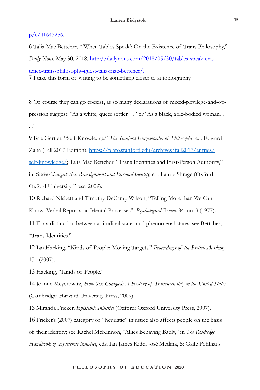#### $p/e/41643256$ .

6 Talia Mae Bettcher, "'When Tables Speak': On the Existence of Trans Philosophy," *Daily Nous*, May 30, 2018, http://dailynous.com/2018/05/30/tables-speak-existence-trans-philosophy-guest-talia-mae-bettcher/. 7 I take this form of writing to be something closer to autobiography.

8 Of course they can go coexist, as so many declarations of mixed-privilege-and-oppression suggest: "As a white, queer settler. . ." or "As a black, able-bodied woman. .  $\cdot$  .  $\cdot$ 

9 Brie Gertler, "Self-Knowledge," *The Stanford Encyclopedia of Philosophy*, ed. Edward Zalta (Fall 2017 Edition), https://plato.stanford.edu/archives/fall2017/entries/ self-knowledge/; Talia Mae Bettcher, "Trans Identities and First-Person Authority," in *You've Changed: Sex Reassignment and Personal Identity,* ed. Laurie Shrage (Oxford: Oxford University Press, 2009).

10 Richard Nisbett and Timothy DeCamp Wilson, "Telling More than We Can Know: Verbal Reports on Mental Processes", *Psychological Review* 84, no. 3 (1977).

11 For a distinction between attitudinal states and phenomenal states, see Bettcher, "Trans Identities."

12 Ian Hacking, "Kinds of People: Moving Targets," *Proceedings of the British Academy* 151 (2007).

13 Hacking, "Kinds of People."

14 Joanne Meyerowitz, *How Sex Changed: A History of Transsexuality in the United States*  (Cambridge: Harvard University Press, 2009).

15 Miranda Fricker, *Epistemic Injustice* (Oxford: Oxford University Press, 2007).

16 Fricker's (2007) category of "heuristic" injustice also affects people on the basis of their identity; see Rachel McKinnon, "Allies Behaving Badly," in *The Routledge Handbook of Epistemic Injustice*, eds. Ian James Kidd, José Medina, & Gaile Pohlhaus